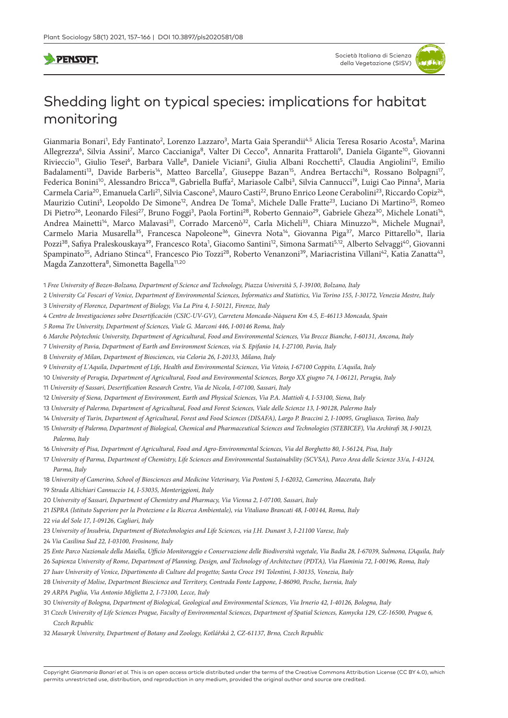# **PENSOFT**

# Shedding light on typical species: implications for habitat monitoring

Gianmaria Bonari<sup>1</sup>, Edy Fantinato<sup>2</sup>, Lorenzo Lazzaro<sup>3</sup>, Marta Gaia Sperandii<sup>4,5</sup> Alicia Teresa Rosario Acosta<sup>5</sup>, Marina Allegrezza<sup>6</sup>, Silvia Assini<sup>7</sup>, Marco Caccianiga<sup>8</sup>, Valter Di Cecco<sup>9</sup>, Annarita Frattaroli<sup>9</sup>, Daniela Gigante<sup>10</sup>, Giovanni Rivieccio<sup>11</sup>, Giulio Tesei<sup>6</sup>, Barbara Valle<sup>8</sup>, Daniele Viciani<sup>3</sup>, Giulia Albani Rocchetti<sup>5</sup>, Claudia Angiolini<sup>12</sup>, Emilio Badalamenti<sup>13</sup>, Davide Barberis<sup>14</sup>, Matteo Barcella<sup>7</sup>, Giuseppe Bazan<sup>15</sup>, Andrea Bertacchi<sup>16</sup>, Rossano Bolpagni<sup>17</sup>, Federica Bonini<sup>10</sup>, Alessandro Bricca<sup>18</sup>, Gabriella Buffa<sup>2</sup>, Mariasole Calbi<sup>3</sup>, Silvia Cannucci<sup>19</sup>, Luigi Cao Pinna<sup>5</sup>, Maria Carmela Caria<sup>20</sup>, Emanuela Carli<sup>21</sup>, Silvia Cascone<sup>5</sup>, Mauro Casti<sup>22</sup>, Bruno Enrico Leone Cerabolini<sup>23</sup>, Riccardo Copiz<sup>24</sup>, Maurizio Cutini<sup>5</sup>, Leopoldo De Simone<sup>12</sup>, Andrea De Toma<sup>5</sup>, Michele Dalle Fratte<sup>23</sup>, Luciano Di Martino<sup>25</sup>, Romeo Di Pietro<sup>26</sup>, Leonardo Filesi<sup>27</sup>, Bruno Foggi<sup>3</sup>, Paola Fortini<sup>28</sup>, Roberto Gennaio<sup>29</sup>, Gabriele Gheza<sup>30</sup>, Michele Lonati<sup>14</sup>, Andrea Mainetti<sup>14</sup>, Marco Malavasi<sup>31</sup>, Corrado Marcenò<sup>32</sup>, Carla Micheli<sup>33</sup>, Chiara Minuzzo<sup>34</sup>, Michele Mugnai<sup>3</sup>, Carmelo Maria Musarella<sup>35</sup>, Francesca Napoleone<sup>36</sup>, Ginevra Nota<sup>14</sup>, Giovanna Piga<sup>37</sup>, Marco Pittarello<sup>14</sup>, Ilaria Pozzi<sup>38</sup>, Safiya Praleskouskaya<sup>39</sup>, Francesco Rota<sup>1</sup>, Giacomo Santini<sup>12</sup>, Simona Sarmati<sup>5,12</sup>, Alberto Selvaggi<sup>40</sup>, Giovanni Spampinato<sup>35</sup>, Adriano Stinca<sup>41</sup>, Francesco Pio Tozzi<sup>28</sup>, Roberto Venanzoni<sup>39</sup>, Mariacristina Villani<sup>42</sup>, Katia Zanatta<sup>43</sup>, Magda Zanzottera<sup>8</sup>, Simonetta Bagella<sup>11,20</sup>

- 1 *Free University of Bozen-Bolzano, Department of Science and Technology, Piazza Università 5, I-39100, Bolzano, Italy*
- 2 *University Ca' Foscari of Venice, Department of Environmental Sciences, Informatics and Statistics, Via Torino 155, I-30172, Venezia Mestre, Italy*  3 *University of Florence, Department of Biology, Via La Pira 4, I-50121, Firenze, Italy*
- 4 *Centro de Investigaciones sobre Desertificación (CSIC-UV-GV), Carretera Moncada-Náquera Km 4.5, E-46113 Moncada, Spain*
- *5 Roma Tre University, Department of Sciences, Viale G. Marconi 446, I-00146 Roma, Italy*
- 6 *Marche Polytechnic University, Department of Agricultural, Food and Environmental Sciences, Via Brecce Bianche, I-60131, Ancona, Italy*
- 7 *University of Pavia, Department of Earth and Environment Sciences, via S. Epifanio 14, I-27100, Pavia, Italy*
- 8 *University of Milan, Department of Biosciences, via Celoria 26, I-20133, Milano, Italy*
- 9 *University of L'Aquila, Department of Life, Health and Environmental Sciences, Via Vetoio, I-67100 Coppito, L'Aquila, Italy*
- 10 *University of Perugia, Department of Agricultural, Food and Environmental Sciences, Borgo XX giugno 74, I-06121, Perugia, Italy*
- 11 *University of Sassari, Desertification Research Centre, Via de Nicola, I-07100, Sassari, Italy*
- 12 *University of Siena, Department of Environment, Earth and Physical Sciences, Via P.A. Mattioli 4, I-53100, Siena, Italy*
- 13 *University of Palermo, Department of Agricultural, Food and Forest Sciences, Viale delle Scienze 13, I-90128, Palermo Italy*
- 14 *University of Turin, Department of Agricultural, Forest and Food Sciences (DISAFA), Largo P. Braccini 2, I-10095, Grugliasco, Torino, Italy*
- 15 *University of Palermo, Department of Biological, Chemical and Pharmaceutical Sciences and Technologies (STEBICEF), Via Archirafi 38, I-90123, Palermo, Italy*
- 16 *University of Pisa, Department of Agricultural, Food and Agro-Environmental Sciences, Via del Borghetto 80, I-56124, Pisa, Italy*
- 17 *University of Parma, Department of Chemistry, Life Sciences and Environmental Sustainability (SCVSA), Parco Area delle Scienze 33/a, I-43124, Parma, Italy*
- 18 *University of Camerino, School of Biosciences and Medicine Veterinary, Via Pontoni 5, I-62032, Camerino, Macerata, Italy*
- 19 *Strada Altichiari Cannuccio 14, I-53035, Monteriggioni, Italy*
- 20 *University of Sassari, Department of Chemistry and Pharmacy, Via Vienna 2, I-07100, Sassari, Italy*
- 21 *ISPRA (Istituto Superiore per la Protezione e la Ricerca Ambientale), via Vitaliano Brancati 48, I-00144, Roma, Italy*
- 22 *via del Sole 17, I-09126, Cagliari, Italy*
- 23 *University of Insubria, Department of Biotechnologies and Life Sciences, via J.H. Dunant 3, I-21100 Varese, Italy*
- 24 *Via Casilina Sud 22, I-03100, Frosinone, Italy*
- 25 *Ente Parco Nazionale della Maiella, Ufficio Monitoraggio e Conservazione delle Biodiversità vegetale, Via Badia 28, I-67039, Sulmona, L'Aquila, Italy*
- 26 *Sapienza University of Rome, Department of Planning, Design, and Technology of Architecture (PDTA), Via Flaminia 72, I-00196, Roma, Italy*
- 27 *Iuav University of Venice, Dipartimento di Culture del progetto; Santa Croce 191 Tolentini, I-30135, Venezia, Italy*
- 28 *University of Molise, Department Bioscience and Territory, Contrada Fonte Lappone, I-86090, Pesche, Isernia, Italy*
- 29 *ARPA Puglia, Via Antonio Miglietta 2, I-73100, Lecce, Italy*
- 30 *University of Bologna, Department of Biological, Geological and Environmental Sciences, Via Irnerio 42, I-40126, Bologna, Italy*
- 31 *Czech University of Life Sciences Prague, Faculty of Environmental Sciences, Department of Spatial Sciences, Kamycka 129, CZ-16500, Prague 6, Czech Republic*
- 32 *Masaryk University, Department of Botany and Zoology, Kotlářská 2, CZ-61137, Brno, Czech Republic*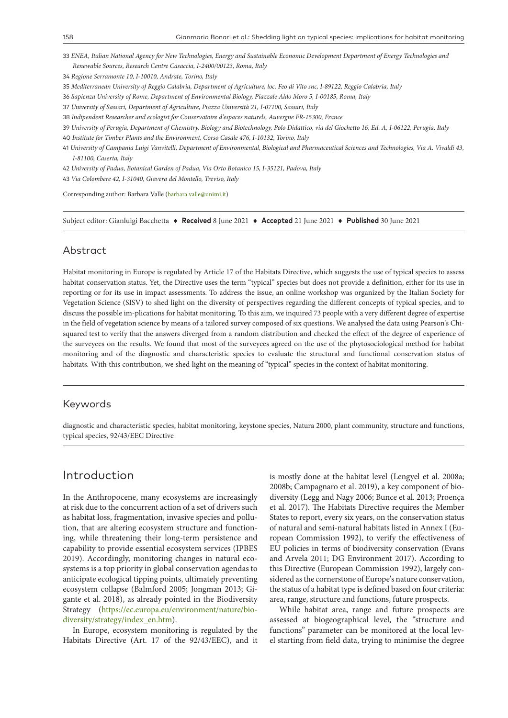33 *ENEA, Italian National Agency for New Technologies, Energy and Sustainable Economic Development Department of Energy Technologies and Renewable Sources, Research Centre Casaccia, I-2400/00123, Roma, Italy* 

34 *Regione Serramonte 10, I-10010, Andrate, Torino, Italy*

35 *Mediterranean University of Reggio Calabria, Department of Agriculture, loc. Feo di Vito snc, I-89122, Reggio Calabria, Italy* 

36 *Sapienza University of Rome, Department of Environmental Biology, Piazzale Aldo Moro 5, I-00185, Roma, Italy*

37 *University of Sassari, Department of Agriculture, Piazza Università 21, I-07100, Sassari, Italy*

38 *Indipendent Researcher and ecologist for Conservatoire d'espaces naturels, Auvergne FR-15300, France*

39 *University of Perugia, Department of Chemistry, Biology and Biotechnology, Polo Didattico, via del Giochetto 16, Ed. A, I-06122, Perugia, Italy* 

40 *Institute for Timber Plants and the Environment, Corso Casale 476, I-10132, Torino, Italy* 

41 *University of Campania Luigi Vanvitelli, Department of Environmental, Biological and Pharmaceutical Sciences and Technologies, Via A. Vivaldi 43, I-81100, Caserta, Italy*

42 *University of Padua, Botanical Garden of Padua, Via Orto Botanico 15, I-35121, Padova, Italy*

43 *Via Colombere 42, I-31040, Giavera del Montello, Treviso, Italy* 

Corresponding author: Barbara Valle ([barbara.valle@unimi.it\)](mailto:barbara.valle@unimi.it)

Subject editor: Gianluigi Bacchetta ♦ **Received** 8 June 2021 ♦ **Accepted** 21 June 2021 ♦ **Published** 30 June 2021

#### Abstract

Habitat monitoring in Europe is regulated by Article 17 of the Habitats Directive, which suggests the use of typical species to assess habitat conservation status. Yet, the Directive uses the term "typical" species but does not provide a definition, either for its use in reporting or for its use in impact assessments. To address the issue, an online workshop was organized by the Italian Society for Vegetation Science (SISV) to shed light on the diversity of perspectives regarding the different concepts of typical species, and to discuss the possible im-plications for habitat monitoring. To this aim, we inquired 73 people with a very different degree of expertise in the field of vegetation science by means of a tailored survey composed of six questions. We analysed the data using Pearson's Chisquared test to verify that the answers diverged from a random distribution and checked the effect of the degree of experience of the surveyees on the results. We found that most of the surveyees agreed on the use of the phytosociological method for habitat monitoring and of the diagnostic and characteristic species to evaluate the structural and functional conservation status of habitats. With this contribution, we shed light on the meaning of "typical" species in the context of habitat monitoring.

#### Keywords

diagnostic and characteristic species, habitat monitoring, keystone species, Natura 2000, plant community, structure and functions, typical species, 92/43/EEC Directive

## Introduction

In the Anthropocene, many ecosystems are increasingly at risk due to the concurrent action of a set of drivers such as habitat loss, fragmentation, invasive species and pollution, that are altering ecosystem structure and functioning, while threatening their long-term persistence and capability to provide essential ecosystem services (IPBES 2019). Accordingly, monitoring changes in natural ecosystems is a top priority in global conservation agendas to anticipate ecological tipping points, ultimately preventing ecosystem collapse (Balmford 2005; Jongman 2013; Gigante et al. 2018), as already pointed in the Biodiversity Strategy [\(https://ec.europa.eu/environment/nature/bio](https://ec.europa.eu/environment/nature/biodiversity/strategy/index_en.htm)[diversity/strategy/index\\_en.htm\)](https://ec.europa.eu/environment/nature/biodiversity/strategy/index_en.htm).

In Europe, ecosystem monitoring is regulated by the Habitats Directive (Art. 17 of the 92/43/EEC), and it

is mostly done at the habitat level (Lengyel et al. 2008a; 2008b; Campagnaro et al. 2019), a key component of biodiversity (Legg and Nagy 2006; Bunce et al. 2013; Proença et al. 2017). The Habitats Directive requires the Member States to report, every six years, on the conservation status of natural and semi-natural habitats listed in Annex I (European Commission 1992), to verify the effectiveness of EU policies in terms of biodiversity conservation (Evans and Arvela 2011; DG Environment 2017). According to this Directive (European Commission 1992), largely considered as the cornerstone of Europe's nature conservation, the status of a habitat type is defined based on four criteria: area, range, structure and functions, future prospects.

While habitat area, range and future prospects are assessed at biogeographical level, the "structure and functions" parameter can be monitored at the local level starting from field data, trying to minimise the degree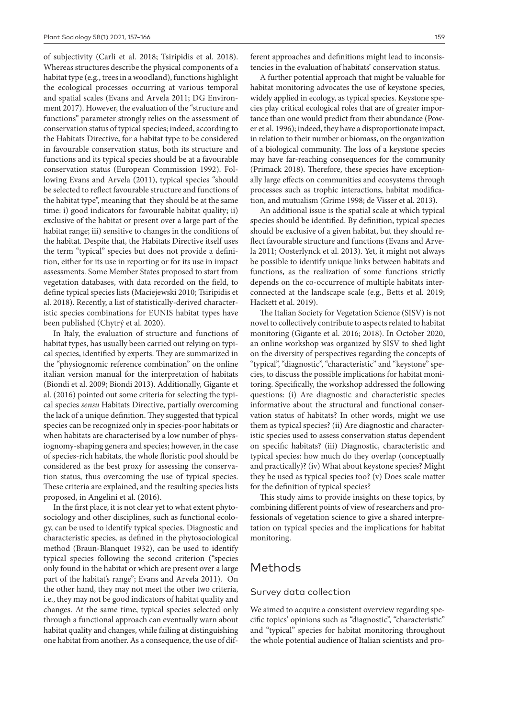of subjectivity (Carli et al. 2018; Tsiripidis et al. 2018). Whereas structures describe the physical components of a habitat type (e.g., trees in a woodland), functions highlight the ecological processes occurring at various temporal and spatial scales (Evans and Arvela 2011; DG Environment 2017). However, the evaluation of the "structure and functions" parameter strongly relies on the assessment of conservation status of typical species; indeed, according to the Habitats Directive, for a habitat type to be considered in favourable conservation status, both its structure and functions and its typical species should be at a favourable conservation status (European Commission 1992). Following Evans and Arvela (2011), typical species "should be selected to reflect favourable structure and functions of the habitat type", meaning that they should be at the same time: i) good indicators for favourable habitat quality; ii) exclusive of the habitat or present over a large part of the habitat range; iii) sensitive to changes in the conditions of the habitat. Despite that, the Habitats Directive itself uses the term "typical" species but does not provide a definition, either for its use in reporting or for its use in impact assessments. Some Member States proposed to start from vegetation databases, with data recorded on the field, to define typical species lists (Maciejewski 2010; Tsiripidis et al. 2018). Recently, a list of statistically-derived characteristic species combinations for EUNIS habitat types have been published (Chytrý et al. 2020).

In Italy, the evaluation of structure and functions of habitat types, has usually been carried out relying on typical species, identified by experts. They are summarized in the "physiognomic reference combination" on the online italian version manual for the interpretation of habitats (Biondi et al. 2009; Biondi 2013). Additionally, Gigante et al. (2016) pointed out some criteria for selecting the typical species *sensu* Habitats Directive, partially overcoming the lack of a unique definition. They suggested that typical species can be recognized only in species-poor habitats or when habitats are characterised by a low number of physiognomy-shaping genera and species; however, in the case of species-rich habitats, the whole floristic pool should be considered as the best proxy for assessing the conservation status, thus overcoming the use of typical species. These criteria are explained, and the resulting species lists proposed, in Angelini et al. (2016).

In the first place, it is not clear yet to what extent phytosociology and other disciplines, such as functional ecology, can be used to identify typical species. Diagnostic and characteristic species, as defined in the phytosociological method (Braun-Blanquet 1932), can be used to identify typical species following the second criterion ("species only found in the habitat or which are present over a large part of the habitat's range"; Evans and Arvela 2011). On the other hand, they may not meet the other two criteria, i.e., they may not be good indicators of habitat quality and changes. At the same time, typical species selected only through a functional approach can eventually warn about habitat quality and changes, while failing at distinguishing one habitat from another. As a consequence, the use of different approaches and definitions might lead to inconsistencies in the evaluation of habitats' conservation status.

A further potential approach that might be valuable for habitat monitoring advocates the use of keystone species, widely applied in ecology, as typical species. Keystone species play critical ecological roles that are of greater importance than one would predict from their abundance (Power et al. 1996); indeed, they have a disproportionate impact, in relation to their number or biomass, on the organization of a biological community. The loss of a keystone species may have far-reaching consequences for the community (Primack 2018). Therefore, these species have exceptionally large effects on communities and ecosystems through processes such as trophic interactions, habitat modification, and mutualism (Grime 1998; de Visser et al. 2013).

An additional issue is the spatial scale at which typical species should be identified. By definition, typical species should be exclusive of a given habitat, but they should reflect favourable structure and functions (Evans and Arvela 2011; Oosterlynck et al. 2013). Yet, it might not always be possible to identify unique links between habitats and functions, as the realization of some functions strictly depends on the co-occurrence of multiple habitats interconnected at the landscape scale (e.g., Betts et al. 2019; Hackett et al. 2019).

The Italian Society for Vegetation Science (SISV) is not novel to collectively contribute to aspects related to habitat monitoring (Gigante et al. 2016; 2018). In October 2020, an online workshop was organized by SISV to shed light on the diversity of perspectives regarding the concepts of "typical", "diagnostic", "characteristic" and "keystone" species, to discuss the possible implications for habitat monitoring. Specifically, the workshop addressed the following questions: (i) Are diagnostic and characteristic species informative about the structural and functional conservation status of habitats? In other words, might we use them as typical species? (ii) Are diagnostic and characteristic species used to assess conservation status dependent on specific habitats? (iii) Diagnostic, characteristic and typical species: how much do they overlap (conceptually and practically)? (iv) What about keystone species? Might they be used as typical species too? (v) Does scale matter for the definition of typical species?

This study aims to provide insights on these topics, by combining different points of view of researchers and professionals of vegetation science to give a shared interpretation on typical species and the implications for habitat monitoring.

#### Methods

#### Survey data collection

We aimed to acquire a consistent overview regarding specific topics' opinions such as "diagnostic", "characteristic" and "typical" species for habitat monitoring throughout the whole potential audience of Italian scientists and pro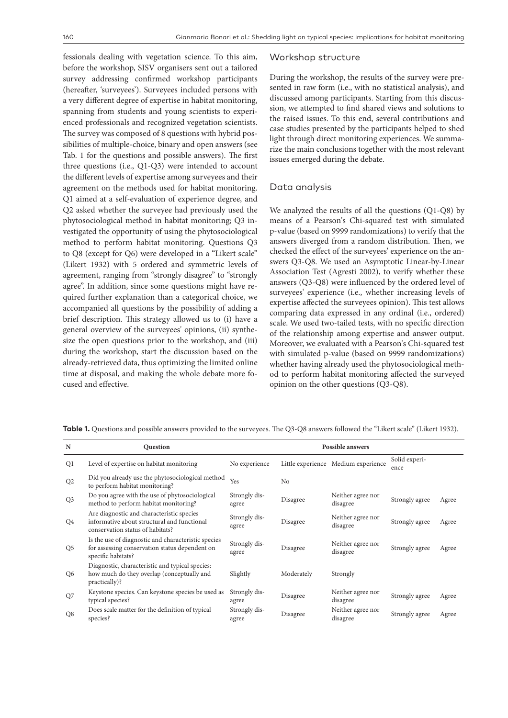fessionals dealing with vegetation science. To this aim, before the workshop, SISV organisers sent out a tailored survey addressing confirmed workshop participants (hereafter, 'surveyees'). Surveyees included persons with a very different degree of expertise in habitat monitoring, spanning from students and young scientists to experienced professionals and recognized vegetation scientists. The survey was composed of 8 questions with hybrid possibilities of multiple-choice, binary and open answers (see Tab. 1 for the questions and possible answers). The first three questions (i.e., Q1-Q3) were intended to account the different levels of expertise among surveyees and their agreement on the methods used for habitat monitoring. Q1 aimed at a self-evaluation of experience degree, and Q2 asked whether the surveyee had previously used the phytosociological method in habitat monitoring; Q3 investigated the opportunity of using the phytosociological method to perform habitat monitoring. Questions Q3 to Q8 (except for Q6) were developed in a "Likert scale" (Likert 1932) with 5 ordered and symmetric levels of agreement, ranging from "strongly disagree" to "strongly agree". In addition, since some questions might have required further explanation than a categorical choice, we accompanied all questions by the possibility of adding a brief description. This strategy allowed us to (i) have a general overview of the surveyees' opinions, (ii) synthesize the open questions prior to the workshop, and (iii) during the workshop, start the discussion based on the already-retrieved data, thus optimizing the limited online time at disposal, and making the whole debate more focused and effective.

#### Workshop structure

During the workshop, the results of the survey were presented in raw form (i.e., with no statistical analysis), and discussed among participants. Starting from this discussion, we attempted to find shared views and solutions to the raised issues. To this end, several contributions and case studies presented by the participants helped to shed light through direct monitoring experiences. We summarize the main conclusions together with the most relevant issues emerged during the debate.

#### Data analysis

We analyzed the results of all the questions (Q1-Q8) by means of a Pearson's Chi-squared test with simulated p-value (based on 9999 randomizations) to verify that the answers diverged from a random distribution. Then, we checked the effect of the surveyees' experience on the answers Q3-Q8. We used an Asymptotic Linear-by-Linear Association Test (Agresti 2002), to verify whether these answers (Q3-Q8) were influenced by the ordered level of surveyees' experience (i.e., whether increasing levels of expertise affected the surveyees opinion). This test allows comparing data expressed in any ordinal (i.e., ordered) scale. We used two-tailed tests, with no specific direction of the relationship among expertise and answer output. Moreover, we evaluated with a Pearson's Chi-squared test with simulated p-value (based on 9999 randomizations) whether having already used the phytosociological method to perform habitat monitoring affected the surveyed opinion on the other questions (Q3-Q8).

| N              | <b>Question</b>                                                                                                              | <b>Possible answers</b> |                |                                     |                       |       |
|----------------|------------------------------------------------------------------------------------------------------------------------------|-------------------------|----------------|-------------------------------------|-----------------------|-------|
| Q1             | Level of expertise on habitat monitoring                                                                                     | No experience           |                | Little experience Medium experience | Solid experi-<br>ence |       |
| Q <sub>2</sub> | Did you already use the phytosociological method<br>to perform habitat monitoring?                                           | Yes                     | N <sub>0</sub> |                                     |                       |       |
| Q <sub>3</sub> | Do you agree with the use of phytosociological<br>method to perform habitat monitoring?                                      | Strongly dis-<br>agree  | Disagree       | Neither agree nor<br>disagree       | Strongly agree        | Agree |
| Q4             | Are diagnostic and characteristic species<br>informative about structural and functional<br>conservation status of habitats? | Strongly dis-<br>agree  | Disagree       | Neither agree nor<br>disagree       | Strongly agree        | Agree |
| Q5             | Is the use of diagnostic and characteristic species<br>for assessing conservation status dependent on<br>specific habitats?  | Strongly dis-<br>agree  | Disagree       | Neither agree nor<br>disagree       | Strongly agree        | Agree |
| Q <sub>6</sub> | Diagnostic, characteristic and typical species:<br>how much do they overlap (conceptually and<br>practically)?               | Slightly                | Moderately     | Strongly                            |                       |       |
| Q7             | Keystone species. Can keystone species be used as<br>typical species?                                                        | Strongly dis-<br>agree  | Disagree       | Neither agree nor<br>disagree       | Strongly agree        | Agree |
| Q <sub>8</sub> | Does scale matter for the definition of typical<br>species?                                                                  | Strongly dis-<br>agree  | Disagree       | Neither agree nor<br>disagree       | Strongly agree        | Agree |

**Table 1.** Questions and possible answers provided to the surveyees. The Q3-Q8 answers followed the "Likert scale" (Likert 1932).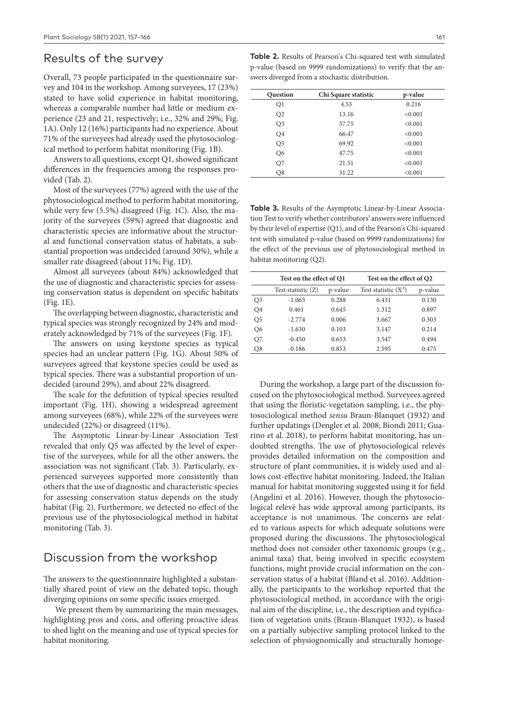#### Results of the survey

Overall, 73 people participated in the questionnaire survey and 104 in the workshop. Among surveyees, 17 (23%) stated to have solid experience in habitat monitoring, whereas a comparable number had little or medium experience (23 and 21, respectively; i.e., 32% and 29%; Fig. 1A). Only 12 (16%) participants had no experience. About 71% of the surveyees had already used the phytosociological method to perform habitat monitoring (Fig. 1B).

Answers to all questions, except Q1, showed significant differences in the frequencies among the responses provided (Tab. 2).

Most of the surveyees (77%) agreed with the use of the phytosociological method to perform habitat monitoring, while very few (5.5%) disagreed (Fig. 1C). Also, the majority of the surveyees (59%) agreed that diagnostic and characteristic species are informative about the structural and functional conservation status of habitats, a substantial proportion was undecided (around 30%), while a smaller rate disagreed (about 11%; Fig. 1D).

Almost all surveyees (about 84%) acknowledged that the use of diagnostic and characteristic species for assessing conservation status is dependent on specific habitats (Fig. 1E).

The overlapping between diagnostic, characteristic and typical species was strongly recognized by 24% and moderately acknowledged by 71% of the surveyees (Fig. 1F).

The answers on using keystone species as typical species had an unclear pattern (Fig. 1G). About 50% of surveyees agreed that keystone species could be used as typical species. There was a substantial proportion of undecided (around 29%), and about 22% disagreed.

The scale for the definition of typical species resulted important (Fig. 1H), showing a widespread agreement among surveyees (68%), while 22% of the surveyees were undecided (22%) or disagreed (11%).

The Asymptotic Linear-by-Linear Association Test revealed that only Q5 was affected by the level of expertise of the surveyees, while for all the other answers, the association was not significant (Tab. 3). Particularly, experienced surveyees supported more consistently than others that the use of diagnostic and characteristic species for assessing conservation status depends on the study habitat (Fig. 2). Furthermore, we detected no effect of the previous use of the phytosociological method in habitat monitoring (Tab. 3).

# Discussion from the workshop

The answers to the questionnnaire highlighted a substantially shared point of view on the debated topic, though diverging opinions on some specific issues emerged.

 We present them by summarizing the main messages, highlighting pros and cons, and offering proactive ideas to shed light on the meaning and use of typical species for habitat monitoring.

**Table 2.** Results of Pearson's Chi-squared test with simulated p-value (based on 9999 randomizations) to verify that the answers diverged from a stochastic distribution.

| <b>Question</b> | Chi Square statistic | p-value |  |
|-----------------|----------------------|---------|--|
| Q1              | 4.53                 | 0.216   |  |
| Q2              | 13.16                | < 0.001 |  |
| Q <sub>3</sub>  | 57.75                | < 0.001 |  |
| O <sub>4</sub>  | 66.47                | < 0.001 |  |
| O <sub>5</sub>  | 69.92                | < 0.001 |  |
| Q <sub>6</sub>  | 47.75                | < 0.001 |  |
| Q7              | 21.51                | < 0.001 |  |
| Q8              | 31.22                | < 0.001 |  |

**Table 3.** Results of the Asymptotic Linear-by-Linear Association Test to verify whether contributors' answers were influenced by their level of expertise (Q1), and of the Pearson's Chi-squared test with simulated p-value (based on 9999 randomizations) for the effect of the previous use of phytosociological method in habitat monitoring (Q2).

| Test on the effect of Q2 |  |  |
|--------------------------|--|--|
| p-value                  |  |  |
| 0.130                    |  |  |
| 0.897                    |  |  |
| 0.303                    |  |  |
| 0.214                    |  |  |
| 0.494                    |  |  |
| 0.475                    |  |  |
|                          |  |  |

During the workshop, a large part of the discussion focused on the phytosociological method. Surveyees agreed that using the floristic-vegetation sampling, i.e., the phytosociological method *sensu* Braun-Blanquet (1932) and further updatings (Dengler et al. 2008; Biondi 2011; Guarino et al. 2018), to perform habitat monitoring, has undoubted strengths. The use of phytosociological relevés provides detailed information on the composition and structure of plant communities, it is widely used and allows cost-effective habitat monitoring. Indeed, the Italian manual for habitat monitoring suggested using it for field (Angelini et al. 2016). However, though the phytosociological relevé has wide approval among participants, its acceptance is not unanimous. The concerns are related to various aspects for which adequate solutions were proposed during the discussions. The phytosociological method does not consider other taxonomic groups (e.g., animal taxa) that, being involved in specific ecosystem functions, might provide crucial information on the conservation status of a habitat (Bland et al. 2016). Additionally, the participants to the workshop reported that the phytosociological method, in accordance with the original aim of the discipline, i.e., the description and typification of vegetation units (Braun-Blanquet 1932), is based on a partially subjective sampling protocol linked to the selection of physiognomically and structurally homoge-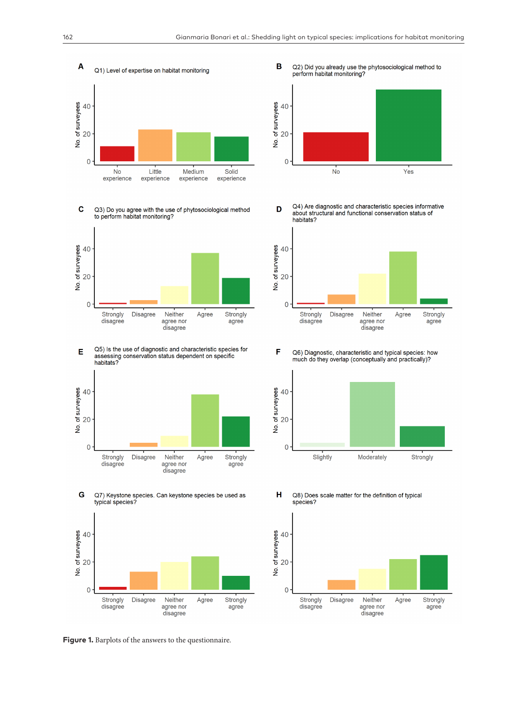

Q3) Do you agree with the use of phytosociological method to perform habitat monitoring?  $\mathbf c$ 



Q5) Is the use of diagnostic and characteristic species for E assessing conservation status dependent on specific habitats?



G Q7) Keystone species. Can keystone species be used as typical species?



**Figure 1.** Barplots of the answers to the questionnaire.

B Q2) Did you already use the phytosociological method to perform habitat monitoring?



Q4) Are diagnostic and characteristic species informative D about structural and functional conservation status of habitats?



F Q6) Diagnostic, characteristic and typical species: how much do they overlap (conceptually and practically)?



Н Q8) Does scale matter for the definition of typical species?

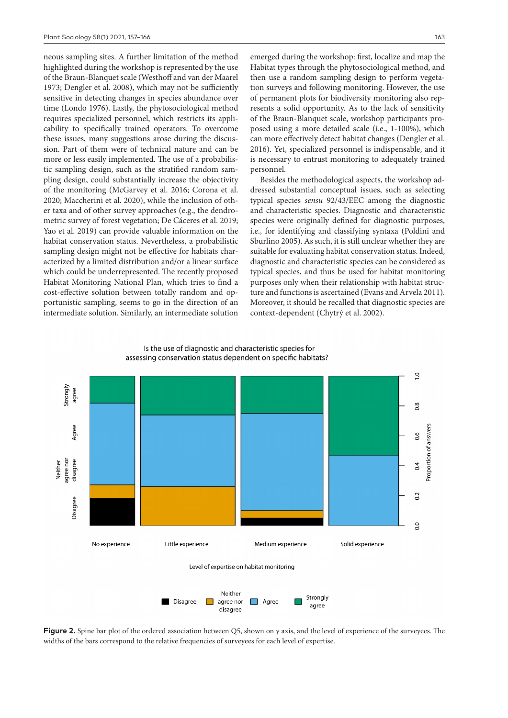neous sampling sites. A further limitation of the method highlighted during the workshop is represented by the use of the Braun-Blanquet scale (Westhoff and van der Maarel 1973; Dengler et al. 2008), which may not be sufficiently sensitive in detecting changes in species abundance over time (Londo 1976). Lastly, the phytosociological method requires specialized personnel, which restricts its applicability to specifically trained operators. To overcome these issues, many suggestions arose during the discussion. Part of them were of technical nature and can be more or less easily implemented. The use of a probabilistic sampling design, such as the stratified random sampling design, could substantially increase the objectivity of the monitoring (McGarvey et al. 2016; Corona et al. 2020; Maccherini et al. 2020), while the inclusion of other taxa and of other survey approaches (e.g., the dendrometric survey of forest vegetation; De Cáceres et al. 2019; Yao et al. 2019) can provide valuable information on the habitat conservation status. Nevertheless, a probabilistic sampling design might not be effective for habitats characterized by a limited distribution and/or a linear surface which could be underrepresented. The recently proposed Habitat Monitoring National Plan, which tries to find a cost-effective solution between totally random and opportunistic sampling, seems to go in the direction of an intermediate solution. Similarly, an intermediate solution emerged during the workshop: first, localize and map the Habitat types through the phytosociological method, and then use a random sampling design to perform vegetation surveys and following monitoring. However, the use of permanent plots for biodiversity monitoring also represents a solid opportunity. As to the lack of sensitivity of the Braun-Blanquet scale, workshop participants proposed using a more detailed scale (i.e., 1-100%), which can more effectively detect habitat changes (Dengler et al. 2016). Yet, specialized personnel is indispensable, and it is necessary to entrust monitoring to adequately trained personnel.

Besides the methodological aspects, the workshop addressed substantial conceptual issues, such as selecting typical species *sensu* 92/43/EEC among the diagnostic and characteristic species. Diagnostic and characteristic species were originally defined for diagnostic purposes, i.e., for identifying and classifying syntaxa (Poldini and Sburlino 2005). As such, it is still unclear whether they are suitable for evaluating habitat conservation status. Indeed, diagnostic and characteristic species can be considered as typical species, and thus be used for habitat monitoring purposes only when their relationship with habitat structure and functions is ascertained (Evans and Arvela 2011). Moreover, it should be recalled that diagnostic species are context-dependent (Chytrý et al. 2002).



Is the use of diagnostic and characteristic species for assessing conservation status dependent on specific habitats?

**Figure 2.** Spine bar plot of the ordered association between Q5, shown on y axis, and the level of experience of the surveyees. The widths of the bars correspond to the relative frequencies of surveyees for each level of expertise.

disagree

agree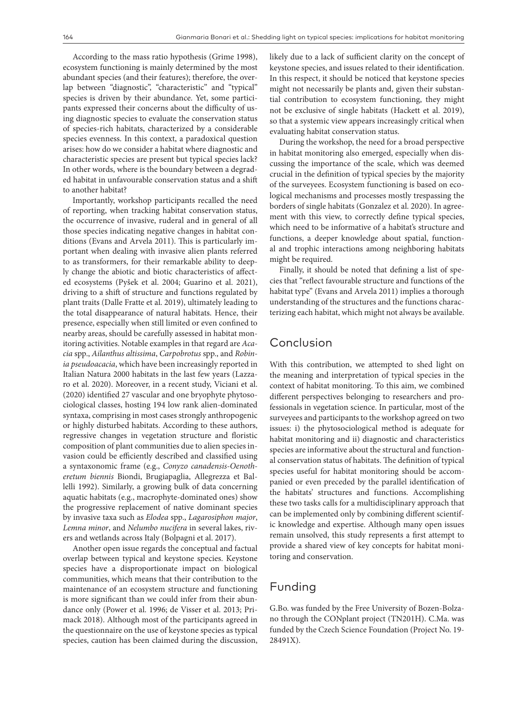According to the mass ratio hypothesis (Grime 1998), ecosystem functioning is mainly determined by the most abundant species (and their features); therefore, the overlap between "diagnostic", "characteristic" and "typical" species is driven by their abundance. Yet, some participants expressed their concerns about the difficulty of using diagnostic species to evaluate the conservation status of species-rich habitats, characterized by a considerable species evenness. In this context, a paradoxical question arises: how do we consider a habitat where diagnostic and characteristic species are present but typical species lack? In other words, where is the boundary between a degraded habitat in unfavourable conservation status and a shift to another habitat?

Importantly, workshop participants recalled the need of reporting, when tracking habitat conservation status, the occurrence of invasive, ruderal and in general of all those species indicating negative changes in habitat conditions (Evans and Arvela 2011). This is particularly important when dealing with invasive alien plants referred to as transformers, for their remarkable ability to deeply change the abiotic and biotic characteristics of affected ecosystems (Pyšek et al. 2004; Guarino et al. 2021), driving to a shift of structure and functions regulated by plant traits (Dalle Fratte et al. 2019), ultimately leading to the total disappearance of natural habitats. Hence, their presence, especially when still limited or even confined to nearby areas, should be carefully assessed in habitat monitoring activities. Notable examples in that regard are *Acacia* spp., *Ailanthus altissima*, *Carpobrotus* spp., and *Robinia pseudoacacia*, which have been increasingly reported in Italian Natura 2000 habitats in the last few years (Lazzaro et al. 2020). Moreover, in a recent study, Viciani et al. (2020) identified 27 vascular and one bryophyte phytosociological classes, hosting 194 low rank alien-dominated syntaxa, comprising in most cases strongly anthropogenic or highly disturbed habitats. According to these authors, regressive changes in vegetation structure and floristic composition of plant communities due to alien species invasion could be efficiently described and classified using a syntaxonomic frame (e.g., *Conyzo canadensis-Oenotheretum biennis* Biondi, Brugiapaglia, Allegrezza et Ballelli 1992). Similarly, a growing bulk of data concerning aquatic habitats (e.g., macrophyte-dominated ones) show the progressive replacement of native dominant species by invasive taxa such as *Elodea* spp., *Lagarosiphon major*, *Lemna minor*, and *Nelumbo nucifera* in several lakes, rivers and wetlands across Italy (Bolpagni et al. 2017).

Another open issue regards the conceptual and factual overlap between typical and keystone species. Keystone species have a disproportionate impact on biological communities, which means that their contribution to the maintenance of an ecosystem structure and functioning is more significant than we could infer from their abundance only (Power et al. 1996; de Visser et al. 2013; Primack 2018). Although most of the participants agreed in the questionnaire on the use of keystone species as typical species, caution has been claimed during the discussion,

likely due to a lack of sufficient clarity on the concept of keystone species, and issues related to their identification. In this respect, it should be noticed that keystone species might not necessarily be plants and, given their substantial contribution to ecosystem functioning, they might not be exclusive of single habitats (Hackett et al. 2019), so that a systemic view appears increasingly critical when evaluating habitat conservation status.

During the workshop, the need for a broad perspective in habitat monitoring also emerged, especially when discussing the importance of the scale, which was deemed crucial in the definition of typical species by the majority of the surveyees. Ecosystem functioning is based on ecological mechanisms and processes mostly trespassing the borders of single habitats (Gonzalez et al. 2020). In agreement with this view, to correctly define typical species, which need to be informative of a habitat's structure and functions, a deeper knowledge about spatial, functional and trophic interactions among neighboring habitats might be required.

Finally, it should be noted that defining a list of species that "reflect favourable structure and functions of the habitat type" (Evans and Arvela 2011) implies a thorough understanding of the structures and the functions characterizing each habitat, which might not always be available.

### Conclusion

With this contribution, we attempted to shed light on the meaning and interpretation of typical species in the context of habitat monitoring. To this aim, we combined different perspectives belonging to researchers and professionals in vegetation science. In particular, most of the surveyees and participants to the workshop agreed on two issues: i) the phytosociological method is adequate for habitat monitoring and ii) diagnostic and characteristics species are informative about the structural and functional conservation status of habitats. The definition of typical species useful for habitat monitoring should be accompanied or even preceded by the parallel identification of the habitats' structures and functions. Accomplishing these two tasks calls for a multidisciplinary approach that can be implemented only by combining different scientific knowledge and expertise. Although many open issues remain unsolved, this study represents a first attempt to provide a shared view of key concepts for habitat monitoring and conservation.

## Funding

G.Bo. was funded by the Free University of Bozen-Bolzano through the CONplant project (TN201H). C.Ma. was funded by the Czech Science Foundation (Project No. 19- 28491X).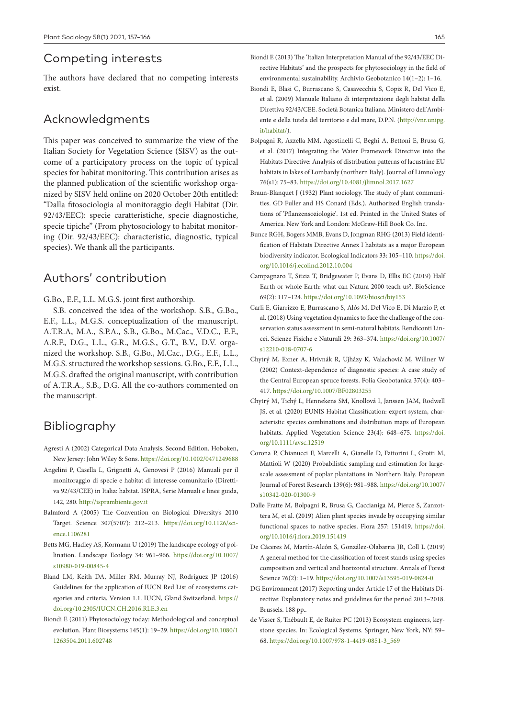## Competing interests

The authors have declared that no competing interests exist.

## Acknowledgments

This paper was conceived to summarize the view of the Italian Society for Vegetation Science (SISV) as the outcome of a participatory process on the topic of typical species for habitat monitoring. This contribution arises as the planned publication of the scientific workshop organized by SISV held online on 2020 October 20th entitled: "Dalla fitosociologia al monitoraggio degli Habitat (Dir. 92/43/EEC): specie caratteristiche, specie diagnostiche, specie tipiche" (From phytosociology to habitat monitoring (Dir. 92/43/EEC): characteristic, diagnostic, typical species). We thank all the participants.

# Authors' contribution

G.Bo., E.F., L.L. M.G.S. joint first authorship.

S.B. conceived the idea of the workshop. S.B., G.Bo., E.F., L.L., M.G.S. conceptualization of the manuscript. A.T.R.A, M.A., S.P.A., S.B., G.Bo., M.Cac., V.D.C., E.F., A.R.F., D.G., L.L., G.R., M.G.S., G.T., B.V., D.V. organized the workshop. S.B., G.Bo., M.Cac., D.G., E.F., L.L., M.G.S. structured the workshop sessions. G.Bo., E.F., L.L., M.G.S. drafted the original manuscript, with contribution of A.T.R.A., S.B., D.G. All the co-authors commented on the manuscript.

# Bibliography

- Agresti A (2002) Categorical Data Analysis, Second Edition. Hoboken, New Jersey: John Wiley & Sons. <https://doi.org/10.1002/0471249688>
- Angelini P, Casella L, Grignetti A, Genovesi P (2016) Manuali per il monitoraggio di specie e habitat di interesse comunitario (Direttiva 92/43/CEE) in Italia: habitat. ISPRA, Serie Manuali e linee guida, 142, 280. <http://isprambiente.gov.it>
- Balmford A (2005) The Convention on Biological Diversity's 2010 Target. Science 307(5707): 212–213. [https://doi.org/10.1126/sci](https://doi.org/10.1126/science.1106281)[ence.1106281](https://doi.org/10.1126/science.1106281)
- Betts MG, Hadley AS, Kormann U (2019) The landscape ecology of pollination. Landscape Ecology 34: 961–966. [https://doi.org/10.1007/](https://doi.org/10.1007/s10980-019-00845-4) [s10980-019-00845-4](https://doi.org/10.1007/s10980-019-00845-4)
- Bland LM, Keith DA, Miller RM, Murray NJ, Rodríguez JP (2016) Guidelines for the application of IUCN Red List of ecosystems categories and criteria, Version 1.1. IUCN, Gland Switzerland. [https://](https://doi.org/10.2305/IUCN.CH.2016.RLE.3.en) [doi.org/10.2305/IUCN.CH.2016.RLE.3.en](https://doi.org/10.2305/IUCN.CH.2016.RLE.3.en)
- Biondi E (2011) Phytosociology today: Methodological and conceptual evolution. Plant Biosystems 145(1): 19–29. [https://doi.org/10.1080/1](https://doi.org/10.1080/11263504.2011.602748) [1263504.2011.602748](https://doi.org/10.1080/11263504.2011.602748)
- Biondi E (2013) The 'Italian Interpretation Manual of the 92/43/EEC Directive Habitats' and the prospects for phytosociology in the field of environmental sustainability. Archivio Geobotanico 14(1–2): 1–16.
- Biondi E, Blasi C, Burrascano S, Casavecchia S, Copiz R, Del Vico E, et al. (2009) Manuale Italiano di interpretazione degli habitat della Direttiva 92/43/CEE. Società Botanica Italiana. Ministero dell'Ambiente e della tutela del territorio e del mare, D.P.N. ([http://vnr.unipg.](http://vnr.unipg.it/habitat/) [it/habitat/\)](http://vnr.unipg.it/habitat/).
- Bolpagni R, Azzella MM, Agostinelli C, Beghi A, Bettoni E, Brusa G, et al. (2017) Integrating the Water Framework Directive into the Habitats Directive: Analysis of distribution patterns of lacustrine EU habitats in lakes of Lombardy (northern Italy). Journal of Limnology 76(s1): 75–83. <https://doi.org/10.4081/jlimnol.2017.1627>
- Braun-Blanquet J (1932) Plant sociology. The study of plant communities. GD Fuller and HS Conard (Eds.). Authorized English translations of 'Pflanzensoziologie'. 1st ed. Printed in the United States of America. New York and London: McGraw-Hill Book Co. Inc.
- Bunce RGH, Bogers MMB, Evans D, Jongman RHG (2013) Field identification of Habitats Directive Annex I habitats as a major European biodiversity indicator. Ecological Indicators 33: 105–110. [https://doi.](https://doi.org/10.1016/j.ecolind.2012.10.004) [org/10.1016/j.ecolind.2012.10.004](https://doi.org/10.1016/j.ecolind.2012.10.004)
- Campagnaro T, Sitzia T, Bridgewater P, Evans D, Ellis EC (2019) Half Earth or whole Earth: what can Natura 2000 teach us?. BioScience 69(2): 117–124.<https://doi.org/10.1093/biosci/biy153>
- Carli E, Giarrizzo E, Burrascano S, Alós M, Del Vico E, Di Marzio P, et al. (2018) Using vegetation dynamics to face the challenge of the conservation status assessment in semi-natural habitats. Rendiconti Lincei. Scienze Fisiche e Naturali 29: 363–374. [https://doi.org/10.1007/](https://doi.org/10.1007/s12210-018-0707-6) [s12210-018-0707-6](https://doi.org/10.1007/s12210-018-0707-6)
- Chytrý M, Exner A, Hrivnák R, Ujházy K, Valachovič M, Willner W (2002) Context-dependence of diagnostic species: A case study of the Central European spruce forests. Folia Geobotanica 37(4): 403– 417. <https://doi.org/10.1007/BF02803255>
- Chytrý M, Tichý L, Hennekens SM, Knollová I, Janssen JAM, Rodwell JS, et al. (2020) EUNIS Habitat Classification: expert system, characteristic species combinations and distribution maps of European habitats. Applied Vegetation Science 23(4): 648–675. [https://doi.](https://doi.org/10.1111/avsc.12519) [org/10.1111/avsc.12519](https://doi.org/10.1111/avsc.12519)
- Corona P, Chianucci F, Marcelli A, Gianelle D, Fattorini L, Grotti M, Mattioli W (2020) Probabilistic sampling and estimation for largescale assessment of poplar plantations in Northern Italy. European Journal of Forest Research 139(6): 981–988. [https://doi.org/10.1007/](https://doi.org/10.1007/s10342-020-01300-9) [s10342-020-01300-9](https://doi.org/10.1007/s10342-020-01300-9)
- Dalle Fratte M, Bolpagni R, Brusa G, Caccianiga M, Pierce S, Zanzottera M, et al. (2019) Alien plant species invade by occupying similar functional spaces to native species. Flora 257: 151419. [https://doi.](https://doi.org/10.1016/j.flora.2019.151419) [org/10.1016/j.flora.2019.151419](https://doi.org/10.1016/j.flora.2019.151419)
- De Cáceres M, Martín-Alcón S, González-Olabarria JR, Coll L (2019) A general method for the classification of forest stands using species composition and vertical and horizontal structure. Annals of Forest Science 76(2): 1–19. <https://doi.org/10.1007/s13595-019-0824-0>
- DG Environment (2017) Reporting under Article 17 of the Habitats Directive: Explanatory notes and guidelines for the period 2013–2018. Brussels. 188 pp..
- de Visser S, Thébault E, de Ruiter PC (2013) Ecosystem engineers, keystone species. In: Ecological Systems. Springer, New York, NY: 59– 68. [https://doi.org/10.1007/978-1-4419-0851-3\\_569](https://doi.org/10.1007/978-1-4419-0851-3_569)